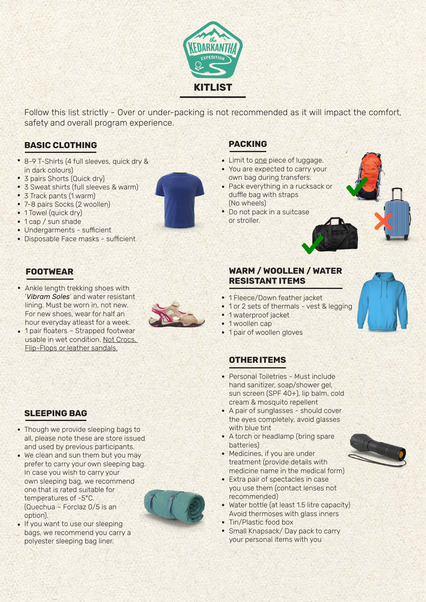

Follow this list strictly - Over or under-packing is not recommended as it will impact the comfort, safety and overall program experience.

# **BASIC CLOTHING**

- 8-9 T-Shirts (4 full sleeves, quick dry & in dark colours)
- 3 pairs Shorts (Quick dry) •
- 3 Sweat shirts (full sleeves & warm)
- 3 Track pants (1 warm)
- 7-8 pairs Socks (2 woollen)
- 1 Towel (quick dry)
- 1 cap / sun shade
- Undergarments sufficient •
- Disposable Face masks sufficient

### **FOOTWEAR**

Ankle length trekking shoes with • '*Vibram Soles*' and water resistant lining. Must be worn in, not new. For new shoes, wear for half an hour everyday atleast for a week.

usable in wet condition. Not Crocs, Flip-Flops or leather sandals.



#### **PACKING**

- Limit to one piece of luggage.
- You are expected to carry your own bag during transfers.
- Pack everything in a rucksack or duffle bag with straps (No wheels)
- Do not pack in a suitcase or stroller.





• 1 pair of woollen gloves

# **OTHER ITEMS**

- Personal Toiletries Must include hand sanitizer, soap/shower gel, sun screen (SPF 40+), lip balm, cold cream & mosquito repellent
- A pair of sunglasses should cover the eyes completely, avoid glasses with blue tint
- A torch or headlamp (bring spare batteries)
- Medicines, if you are under treatment (provide details with medicine name in the medical form)
- Extra pair of spectacles in case you use them (contact lenses not recommended)
- Water bottle (at least 1.5 litre capacity) Avoid thermoses with glass inners
- Tin/Plastic food box
- Small Knapsack/ Day pack to carry your personal items with you



#### **SLEEPING BAG**

- Though we provide sleeping bags to all, please note these are store issued and used by previous participants.
- We clean and sun them but you may prefer to carry your own sleeping bag. In case you wish to carry your own sleeping bag, we recommend one that is rated suitable for temperatures of -5°C. (Quechua – Forclaz 0/5 is an option).



• If you want to use our sleeping bags, we recommend you carry a polyester sleeping bag liner.